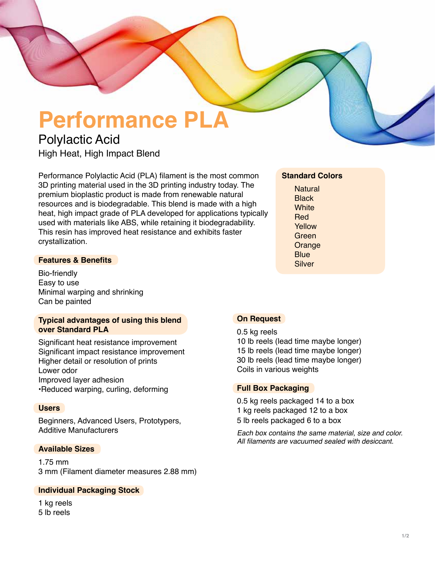# **Performance PLA**

# Polylactic Acid High Heat, High Impact Blend

Performance Polylactic Acid (PLA) filament is the most common 3D printing material used in the 3D printing industry today. The premium bioplastic product is made from renewable natural resources and is biodegradable. This blend is made with a high heat, high impact grade of PLA developed for applications typically used with materials like ABS, while retaining it biodegradability. This resin has improved heat resistance and exhibits faster crystallization.

### **Features & Benefits**

Bio-friendly Easy to use Minimal warping and shrinking Can be painted

#### **Typical advantages of using this blend over Standard PLA**

Significant heat resistance improvement Significant impact resistance improvement Higher detail or resolution of prints Lower odor Improved layer adhesion •Reduced warping, curling, deforming

#### **Users**

Beginners, Advanced Users, Prototypers, Additive Manufacturers

#### **Available Sizes**

1.75 mm 3 mm (Filament diameter measures 2.88 mm)

#### **Individual Packaging Stock**

1 kg reels 5 lb reels

## **Standard Colors**

**Natural Black White** Red Yellow Green Orange **Blue** Silver

#### **On Request**

0.5 kg reels 10 lb reels (lead time maybe longer) 15 lb reels (lead time maybe longer) 30 lb reels (lead time maybe longer) Coils in various weights

#### **Full Box Packaging**

0.5 kg reels packaged 14 to a box 1 kg reels packaged 12 to a box 5 lb reels packaged 6 to a box

Each box contains the same material, size and color. All filaments are vacuumed sealed with desiccant.